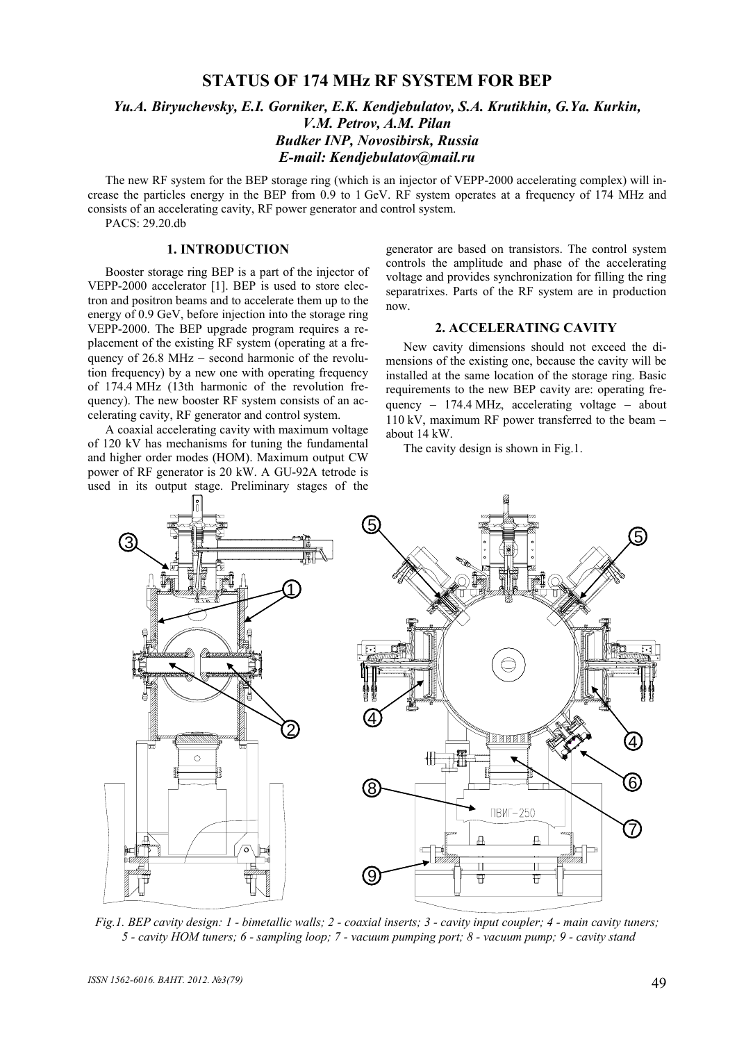# **STATUS OF 174 MHz RF SYSTEM FOR BEP**

# *Yu.A. Biryuchevsky, E.I. Gorniker, E.K. Kendjebulatov, S.A. Krutikhin, G.Ya. Kurkin, V.M. Petrov, A.M. Pilan Budker INP, Novosibirsk, Russia E-mail: Kendjebulatov@mail.ru*

The new RF system for the BEP storage ring (which is an injector of VEPP-2000 accelerating complex) will increase the particles energy in the BEP from 0.9 to 1 GeV. RF system operates at a frequency of 174 MHz and consists of an accelerating cavity, RF power generator and control system.

PACS: 29.20.db

## **1. INTRODUCTION**

Booster storage ring BEP is a part of the injector of VEPP-2000 accelerator [1]. BEP is used to store electron and positron beams and to accelerate them up to the energy of 0.9 GeV, before injection into the storage ring VEPP-2000. The BEP upgrade program requires a replacement of the existing RF system (operating at a frequency of  $26.8$  MHz – second harmonic of the revolution frequency) by a new one with operating frequency of 174.4 MHz (13th harmonic of the revolution frequency). The new booster RF system consists of an accelerating cavity, RF generator and control system.

A coaxial accelerating cavity with maximum voltage of 120 kV has mechanisms for tuning the fundamental and higher order modes (HOM). Maximum output CW power of RF generator is 20 kW. A GU-92A tetrode is used in its output stage. Preliminary stages of the generator are based on transistors. The control system controls the amplitude and phase of the accelerating voltage and provides synchronization for filling the ring separatrixes. Parts of the RF system are in production now.

# **2. ACCELERATING CAVITY**

New cavity dimensions should not exceed the dimensions of the existing one, because the cavity will be installed at the same location of the storage ring. Basic requirements to the new BEP cavity are: operating frequency − 174.4 MHz, accelerating voltage – about 110 kV, maximum RF power transferred to the beam − about 14 kW.

The cavity design is shown in Fig.1.



*Fig.1. BEP cavity design: 1 - bimetallic walls; 2 - coaxial inserts; 3 - cavity input coupler; 4 - main cavity tuners; 5 - cavity HOM tuners; 6 - sampling loop; 7 - vacuum pumping port; 8 - vacuum pump; 9 - cavity stand*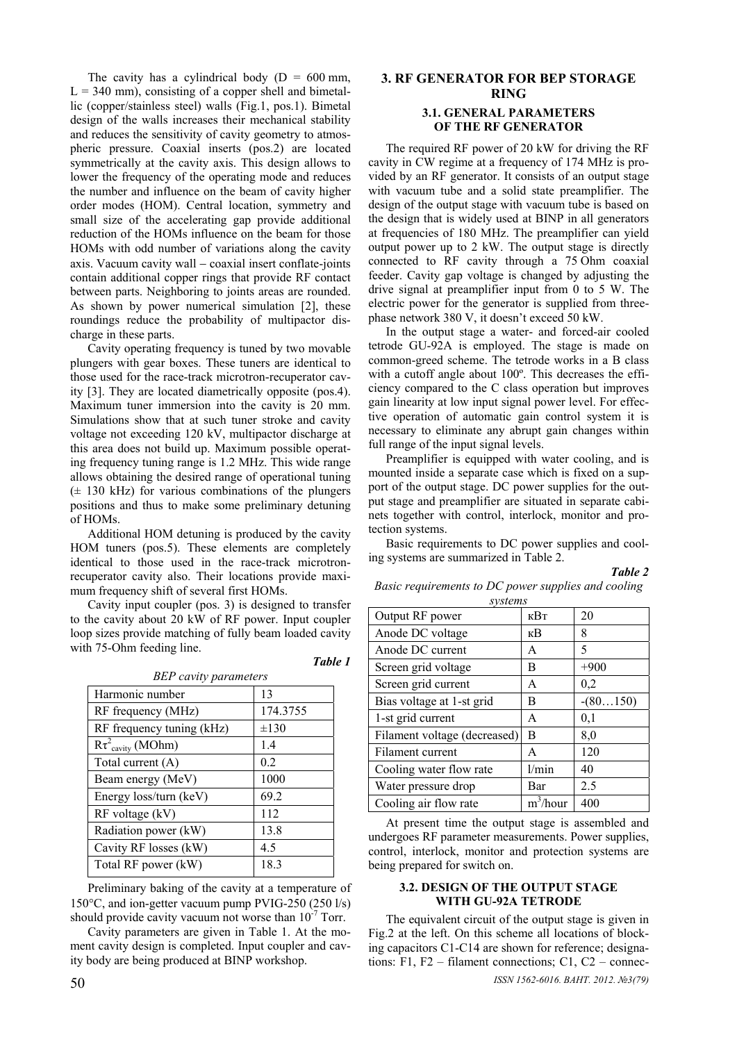The cavity has a cylindrical body ( $D = 600$  mm,  $L = 340$  mm), consisting of a copper shell and bimetallic (copper/stainless steel) walls (Fig.1, pos.1). Bimetal design of the walls increases their mechanical stability and reduces the sensitivity of cavity geometry to atmospheric pressure. Coaxial inserts (pos.2) are located symmetrically at the cavity axis. This design allows to lower the frequency of the operating mode and reduces the number and influence on the beam of cavity higher order modes (HOM). Central location, symmetry and small size of the accelerating gap provide additional reduction of the HOMs influence on the beam for those HOMs with odd number of variations along the cavity axis. Vacuum cavity wall − coaxial insert conflate-joints contain additional copper rings that provide RF contact between parts. Neighboring to joints areas are rounded. As shown by power numerical simulation [2], these roundings reduce the probability of multipactor discharge in these parts.

Cavity operating frequency is tuned by two movable plungers with gear boxes. These tuners are identical to those used for the race-track microtron-recuperator cavity [3]. They are located diametrically opposite (pos.4). Maximum tuner immersion into the cavity is 20 mm. Simulations show that at such tuner stroke and cavity voltage not exceeding 120 kV, multipactor discharge at this area does not build up. Maximum possible operating frequency tuning range is 1.2 MHz. This wide range allows obtaining the desired range of operational tuning  $(\pm 130 \text{ kHz})$  for various combinations of the plungers positions and thus to make some preliminary detuning of HOMs.

Additional HOM detuning is produced by the cavity HOM tuners (pos.5). These elements are completely identical to those used in the race-track microtronrecuperator cavity also. Their locations provide maximum frequency shift of several first HOMs.

Cavity input coupler (pos. 3) is designed to transfer to the cavity about 20 kW of RF power. Input coupler loop sizes provide matching of fully beam loaded cavity with 75-Ohm feeding line.

| an. |  |
|-----|--|
|-----|--|

| <b>BEP</b> cavity parameters       |           |  |
|------------------------------------|-----------|--|
| Harmonic number                    | 13        |  |
| RF frequency (MHz)                 | 174.3755  |  |
| RF frequency tuning (kHz)          | $\pm 130$ |  |
| $R\tau^2$ <sub>cavity</sub> (MOhm) | 1.4       |  |
| Total current (A)                  | 0.2       |  |
| Beam energy (MeV)                  | 1000      |  |
| Energy loss/turn (keV)             | 69.2      |  |
| $RF$ voltage $(kV)$                | 112       |  |
| Radiation power (kW)               | 13.8      |  |
| Cavity RF losses (kW)              | 4.5       |  |
| Total RF power (kW)                | 18.3      |  |

Preliminary baking of the cavity at a temperature of 150°C, and ion-getter vacuum pump PVIG-250 (250 l/s) should provide cavity vacuum not worse than  $10^{-7}$  Torr.

Cavity parameters are given in Table 1. At the moment cavity design is completed. Input coupler and cavity body are being produced at BINP workshop.

# **3. RF GENERATOR FOR BEP STORAGE RING 3.1. GENERAL PARAMETERS OF THE RF GENERATOR**

The required RF power of 20 kW for driving the RF cavity in CW regime at a frequency of 174 MHz is provided by an RF generator. It consists of an output stage with vacuum tube and a solid state preamplifier. The design of the output stage with vacuum tube is based on the design that is widely used at BINP in all generators at frequencies of 180 MHz. The preamplifier can yield output power up to 2 kW. The output stage is directly connected to RF cavity through a 75 Ohm coaxial feeder. Cavity gap voltage is changed by adjusting the drive signal at preamplifier input from 0 to 5 W. The electric power for the generator is supplied from threephase network 380 V, it doesn't exceed 50 kW.

In the output stage a water- and forced-air cooled tetrode GU-92A is employed. The stage is made on common-greed scheme. The tetrode works in a B class with a cutoff angle about 100º. This decreases the efficiency compared to the C class operation but improves gain linearity at low input signal power level. For effective operation of automatic gain control system it is necessary to eliminate any abrupt gain changes within full range of the input signal levels.

Preamplifier is equipped with water cooling, and is mounted inside a separate case which is fixed on a support of the output stage. DC power supplies for the output stage and preamplifier are situated in separate cabinets together with control, interlock, monitor and protection systems.

Basic requirements to DC power supplies and cooling systems are summarized in Table 2.

*Table 2*

*Basic requirements to DC power supplies and cooling systems* 

| <i>Svstellts</i>             |             |            |  |
|------------------------------|-------------|------------|--|
| Output RF power              | кВт         | 20         |  |
| Anode DC voltage             | кB          | 8          |  |
| Anode DC current             | A           | 5          |  |
| Screen grid voltage          | В           | $+900$     |  |
| Screen grid current          | A           | 0,2        |  |
| Bias voltage at 1-st grid    | В           | $-(80150)$ |  |
| 1-st grid current            | A           | 0,1        |  |
| Filament voltage (decreased) | B           | 8,0        |  |
| Filament current             | A           | 120        |  |
| Cooling water flow rate      | 1/min       | 40         |  |
| Water pressure drop          | Bar         | 2.5        |  |
| Cooling air flow rate        | $m^3/h$ our | 400        |  |

At present time the output stage is assembled and undergoes RF parameter measurements. Power supplies, control, interlock, monitor and protection systems are being prepared for switch on.

## **3.2. DESIGN OF THE OUTPUT STAGE WITH GU-92А TETRODE**

The equivalent circuit of the output stage is given in Fig.2 at the left. On this scheme all locations of blocking capacitors С1-С14 are shown for reference; designations: F1, F2 – filament connections; C1, C2 – connec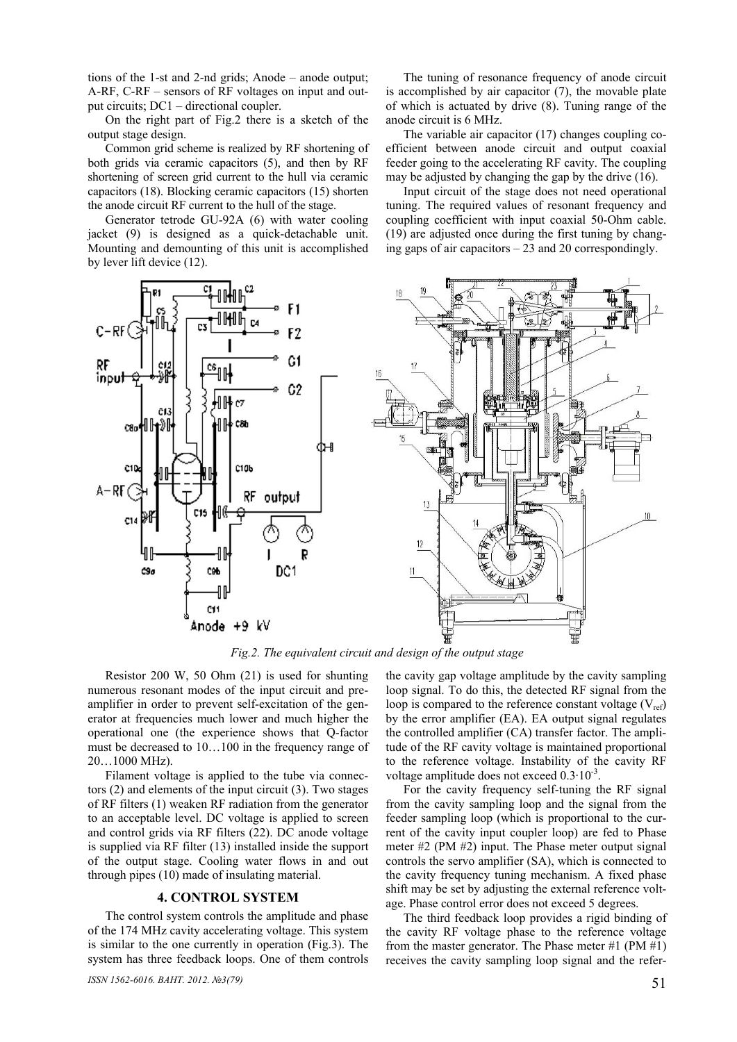tions of the 1-st and 2-nd grids; Anode – anode output; А-RF, C-RF – sensors of RF voltages on input and output circuits; DC1 – directional coupler.

On the right part of Fig.2 there is a sketch of the output stage design.

Common grid scheme is realized by RF shortening of both grids via ceramic capacitors (5), and then by RF shortening of screen grid current to the hull via ceramic capacitors (18). Blocking ceramic capacitors (15) shorten the anode circuit RF current to the hull of the stage.

Generator tetrode GU-92A (6) with water cooling jacket (9) is designed as a quick-detachable unit. Mounting and demounting of this unit is accomplished by lever lift device (12).



The tuning of resonance frequency of anode circuit is accomplished by air capacitor (7), the movable plate of which is actuated by drive (8). Tuning range of the anode circuit is 6 MHz.

The variable air capacitor (17) changes coupling coefficient between anode circuit and output coaxial feeder going to the accelerating RF cavity. The coupling may be adjusted by changing the gap by the drive (16).

Input circuit of the stage does not need operational tuning. The required values of resonant frequency and coupling coefficient with input coaxial 50-Ohm cable. (19) are adjusted once during the first tuning by changing gaps of air capacitors – 23 and 20 correspondingly.



*Fig.2. The equivalent circuit and design of the output stage* 

Resistor 200 W, 50 Ohm (21) is used for shunting numerous resonant modes of the input circuit and preamplifier in order to prevent self-excitation of the generator at frequencies much lower and much higher the operational one (the experience shows that Q-factor must be decreased to 10…100 in the frequency range of 20…1000 MHz).

Filament voltage is applied to the tube via connectors (2) and elements of the input circuit (3). Two stages of RF filters (1) weaken RF radiation from the generator to an acceptable level. DC voltage is applied to screen and control grids via RF filters (22). DC anode voltage is supplied via RF filter (13) installed inside the support of the output stage. Cooling water flows in and out through pipes (10) made of insulating material.

#### **4. CONTROL SYSTEM**

The control system controls the amplitude and phase of the 174 MHz cavity accelerating voltage. This system is similar to the one currently in operation (Fig.3). The system has three feedback loops. One of them controls

*ISSN 1562-6016. BAHT.* 2012.  $\mathcal{N}$ <sup>2</sup>(79) 51

the cavity gap voltage amplitude by the cavity sampling loop signal. To do this, the detected RF signal from the loop is compared to the reference constant voltage  $(V_{ref})$ by the error amplifier (EA). EA output signal regulates the controlled amplifier (CA) transfer factor. The amplitude of the RF cavity voltage is maintained proportional to the reference voltage. Instability of the cavity RF voltage amplitude does not exceed  $0.3 \cdot 10^{-3}$ .

For the cavity frequency self-tuning the RF signal from the cavity sampling loop and the signal from the feeder sampling loop (which is proportional to the current of the cavity input coupler loop) are fed to Phase meter #2 (PM #2) input. The Phase meter output signal controls the servo amplifier (SA), which is connected to the cavity frequency tuning mechanism. A fixed phase shift may be set by adjusting the external reference voltage. Phase control error does not exceed 5 degrees.

The third feedback loop provides a rigid binding of the cavity RF voltage phase to the reference voltage from the master generator. The Phase meter #1 (PM #1) receives the cavity sampling loop signal and the refer